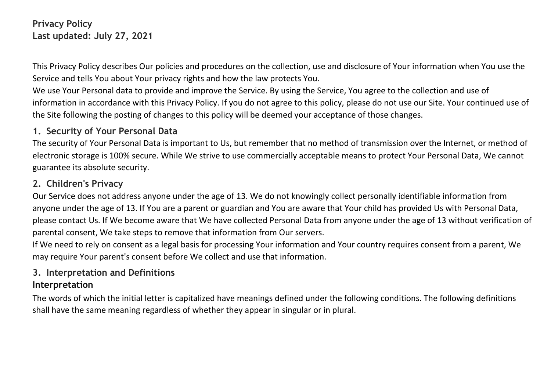# **Privacy Policy Last updated: July 27, 2021**

This Privacy Policy describes Our policies and procedures on the collection, use and disclosure of Your information when You use the Service and tells You about Your privacy rights and how the law protects You.

We use Your Personal data to provide and improve the Service. By using the Service, You agree to the collection and use of information in accordance with this Privacy Policy. If you do not agree to this policy, please do not use our Site. Your continued use of the Site following the posting of changes to this policy will be deemed your acceptance of those changes.

#### **1. Security of Your Personal Data**

The security of Your Personal Data is important to Us, but remember that no method of transmission over the Internet, or method of electronic storage is 100% secure. While We strive to use commercially acceptable means to protect Your Personal Data, We cannot guarantee its absolute security.

### **2. Children's Privacy**

Our Service does not address anyone under the age of 13. We do not knowingly collect personally identifiable information from anyone under the age of 13. If You are a parent or guardian and You are aware that Your child has provided Us with Personal Data, please contact Us. If We become aware that We have collected Personal Data from anyone under the age of 13 without verification of parental consent, We take steps to remove that information from Our servers.

If We need to rely on consent as a legal basis for processing Your information and Your country requires consent from a parent, We may require Your parent's consent before We collect and use that information.

# **3. Interpretation and Definitions**

## **Interpretation**

The words of which the initial letter is capitalized have meanings defined under the following conditions. The following definitions shall have the same meaning regardless of whether they appear in singular or in plural.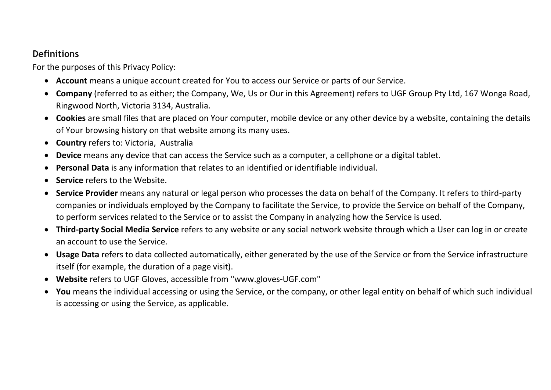#### **Definitions**

For the purposes of this Privacy Policy:

- **Account** means a unique account created for You to access our Service or parts of our Service.
- **Company** (referred to as either; the Company, We, Us or Our in this Agreement) refers to UGF Group Pty Ltd, 167 Wonga Road, Ringwood North, Victoria 3134, Australia.
- **Cookies** are small files that are placed on Your computer, mobile device or any other device by a website, containing the details of Your browsing history on that website among its many uses.
- **Country** refers to: Victoria, Australia
- **Device** means any device that can access the Service such as a computer, a cellphone or a digital tablet.
- **Personal Data** is any information that relates to an identified or identifiable individual.
- **Service** refers to the Website.
- **Service Provider** means any natural or legal person who processes the data on behalf of the Company. It refers to third-party companies or individuals employed by the Company to facilitate the Service, to provide the Service on behalf of the Company, to perform services related to the Service or to assist the Company in analyzing how the Service is used.
- **Third-party Social Media Service** refers to any website or any social network website through which a User can log in or create an account to use the Service.
- **Usage Data** refers to data collected automatically, either generated by the use of the Service or from the Service infrastructure itself (for example, the duration of a page visit).
- **Website** refers to UGF Gloves, accessible from "www.gloves-UGF.com"
- **You** means the individual accessing or using the Service, or the company, or other legal entity on behalf of which such individual is accessing or using the Service, as applicable.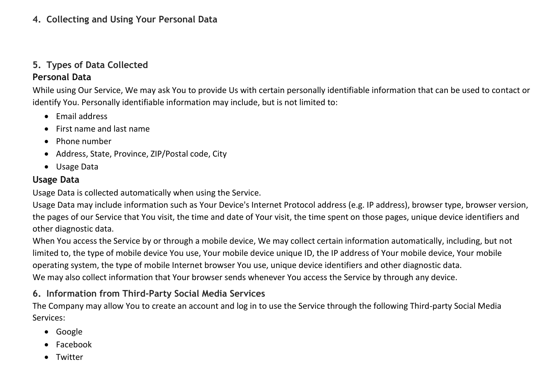## **4. Collecting and Using Your Personal Data**

#### **5. Types of Data Collected**

#### **Personal Data**

While using Our Service, We may ask You to provide Us with certain personally identifiable information that can be used to contact or identify You. Personally identifiable information may include, but is not limited to:

- Email address
- First name and last name
- Phone number
- Address, State, Province, ZIP/Postal code, City
- Usage Data

## **Usage Data**

Usage Data is collected automatically when using the Service.

Usage Data may include information such as Your Device's Internet Protocol address (e.g. IP address), browser type, browser version, the pages of our Service that You visit, the time and date of Your visit, the time spent on those pages, unique device identifiers and other diagnostic data.

When You access the Service by or through a mobile device, We may collect certain information automatically, including, but not limited to, the type of mobile device You use, Your mobile device unique ID, the IP address of Your mobile device, Your mobile operating system, the type of mobile Internet browser You use, unique device identifiers and other diagnostic data. We may also collect information that Your browser sends whenever You access the Service by through any device.

## **6. Information from Third-Party Social Media Services**

The Company may allow You to create an account and log in to use the Service through the following Third-party Social Media Services:

- Google
- Facebook
- Twitter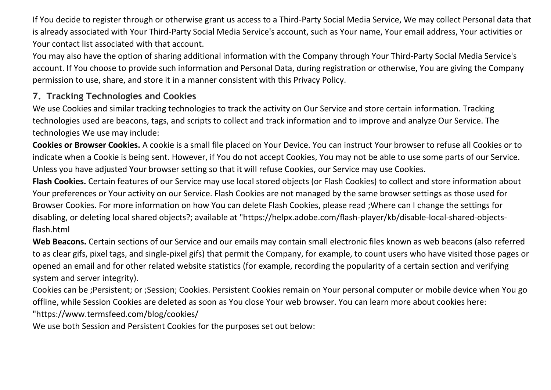If You decide to register through or otherwise grant us access to a Third-Party Social Media Service, We may collect Personal data that is already associated with Your Third-Party Social Media Service's account, such as Your name, Your email address, Your activities or Your contact list associated with that account.

You may also have the option of sharing additional information with the Company through Your Third-Party Social Media Service's account. If You choose to provide such information and Personal Data, during registration or otherwise, You are giving the Company permission to use, share, and store it in a manner consistent with this Privacy Policy.

## **7. Tracking Technologies and Cookies**

We use Cookies and similar tracking technologies to track the activity on Our Service and store certain information. Tracking technologies used are beacons, tags, and scripts to collect and track information and to improve and analyze Our Service. The technologies We use may include:

**Cookies or Browser Cookies.** A cookie is a small file placed on Your Device. You can instruct Your browser to refuse all Cookies or to indicate when a Cookie is being sent. However, if You do not accept Cookies, You may not be able to use some parts of our Service. Unless you have adjusted Your browser setting so that it will refuse Cookies, our Service may use Cookies.

**Flash Cookies.** Certain features of our Service may use local stored objects (or Flash Cookies) to collect and store information about Your preferences or Your activity on our Service. Flash Cookies are not managed by the same browser settings as those used for Browser Cookies. For more information on how You can delete Flash Cookies, please read ;Where can I change the settings for disabling, or deleting local shared objects?; available at "https://helpx.adobe.com/flash-player/kb/disable-local-shared-objectsflash.html

**Web Beacons.** Certain sections of our Service and our emails may contain small electronic files known as web beacons (also referred to as clear gifs, pixel tags, and single-pixel gifs) that permit the Company, for example, to count users who have visited those pages or opened an email and for other related website statistics (for example, recording the popularity of a certain section and verifying system and server integrity).

Cookies can be ;Persistent; or ;Session; Cookies. Persistent Cookies remain on Your personal computer or mobile device when You go offline, while Session Cookies are deleted as soon as You close Your web browser. You can learn more about cookies here:

"https://www.termsfeed.com/blog/cookies/

We use both Session and Persistent Cookies for the purposes set out below: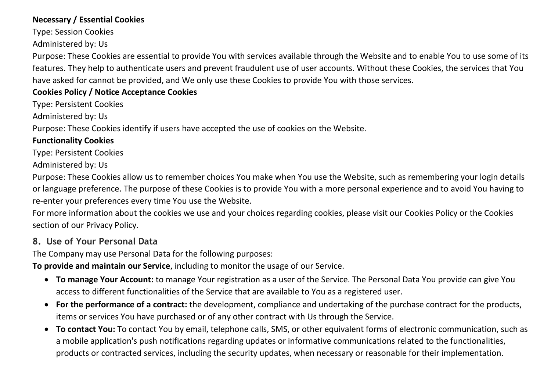#### **Necessary / Essential Cookies**

Type: Session Cookies

Administered by: Us

Purpose: These Cookies are essential to provide You with services available through the Website and to enable You to use some of its features. They help to authenticate users and prevent fraudulent use of user accounts. Without these Cookies, the services that You have asked for cannot be provided, and We only use these Cookies to provide You with those services.

## **Cookies Policy / Notice Acceptance Cookies**

Type: Persistent Cookies

Administered by: Us

Purpose: These Cookies identify if users have accepted the use of cookies on the Website.

### **Functionality Cookies**

Type: Persistent Cookies

Administered by: Us

Purpose: These Cookies allow us to remember choices You make when You use the Website, such as remembering your login details or language preference. The purpose of these Cookies is to provide You with a more personal experience and to avoid You having to re-enter your preferences every time You use the Website.

For more information about the cookies we use and your choices regarding cookies, please visit our Cookies Policy or the Cookies section of our Privacy Policy.

# **8. Use of Your Personal Data**

The Company may use Personal Data for the following purposes:

**To provide and maintain our Service**, including to monitor the usage of our Service.

- **To manage Your Account:** to manage Your registration as a user of the Service. The Personal Data You provide can give You access to different functionalities of the Service that are available to You as a registered user.
- **For the performance of a contract:** the development, compliance and undertaking of the purchase contract for the products, items or services You have purchased or of any other contract with Us through the Service.
- **To contact You:** To contact You by email, telephone calls, SMS, or other equivalent forms of electronic communication, such as a mobile application's push notifications regarding updates or informative communications related to the functionalities, products or contracted services, including the security updates, when necessary or reasonable for their implementation.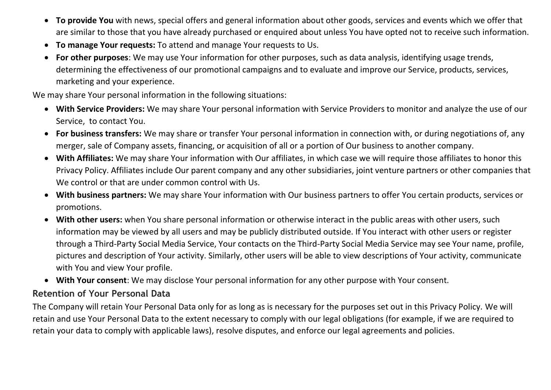- **To provide You** with news, special offers and general information about other goods, services and events which we offer that are similar to those that you have already purchased or enquired about unless You have opted not to receive such information.
- **To manage Your requests:** To attend and manage Your requests to Us.
- **For other purposes**: We may use Your information for other purposes, such as data analysis, identifying usage trends, determining the effectiveness of our promotional campaigns and to evaluate and improve our Service, products, services, marketing and your experience.

We may share Your personal information in the following situations:

- **With Service Providers:** We may share Your personal information with Service Providers to monitor and analyze the use of our Service, to contact You.
- **For business transfers:** We may share or transfer Your personal information in connection with, or during negotiations of, any merger, sale of Company assets, financing, or acquisition of all or a portion of Our business to another company.
- **With Affiliates:** We may share Your information with Our affiliates, in which case we will require those affiliates to honor this Privacy Policy. Affiliates include Our parent company and any other subsidiaries, joint venture partners or other companies that We control or that are under common control with Us.
- **With business partners:** We may share Your information with Our business partners to offer You certain products, services or promotions.
- **With other users:** when You share personal information or otherwise interact in the public areas with other users, such information may be viewed by all users and may be publicly distributed outside. If You interact with other users or register through a Third-Party Social Media Service, Your contacts on the Third-Party Social Media Service may see Your name, profile, pictures and description of Your activity. Similarly, other users will be able to view descriptions of Your activity, communicate with You and view Your profile.
- **With Your consent**: We may disclose Your personal information for any other purpose with Your consent.

# **Retention of Your Personal Data**

The Company will retain Your Personal Data only for as long as is necessary for the purposes set out in this Privacy Policy. We will retain and use Your Personal Data to the extent necessary to comply with our legal obligations (for example, if we are required to retain your data to comply with applicable laws), resolve disputes, and enforce our legal agreements and policies.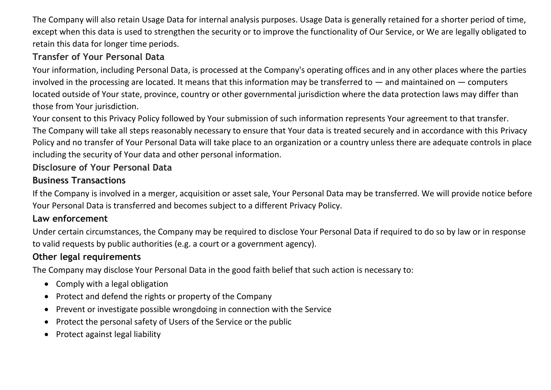The Company will also retain Usage Data for internal analysis purposes. Usage Data is generally retained for a shorter period of time, except when this data is used to strengthen the security or to improve the functionality of Our Service, or We are legally obligated to retain this data for longer time periods.

# **Transfer of Your Personal Data**

Your information, including Personal Data, is processed at the Company's operating offices and in any other places where the parties involved in the processing are located. It means that this information may be transferred to  $-$  and maintained on  $-$  computers located outside of Your state, province, country or other governmental jurisdiction where the data protection laws may differ than those from Your jurisdiction.

Your consent to this Privacy Policy followed by Your submission of such information represents Your agreement to that transfer. The Company will take all steps reasonably necessary to ensure that Your data is treated securely and in accordance with this Privacy Policy and no transfer of Your Personal Data will take place to an organization or a country unless there are adequate controls in place including the security of Your data and other personal information.

## **Disclosure of Your Personal Data**

# **Business Transactions**

If the Company is involved in a merger, acquisition or asset sale, Your Personal Data may be transferred. We will provide notice before Your Personal Data is transferred and becomes subject to a different Privacy Policy.

### **Law enforcement**

Under certain circumstances, the Company may be required to disclose Your Personal Data if required to do so by law or in response to valid requests by public authorities (e.g. a court or a government agency).

### **Other legal requirements**

The Company may disclose Your Personal Data in the good faith belief that such action is necessary to:

- Comply with a legal obligation
- Protect and defend the rights or property of the Company
- Prevent or investigate possible wrongdoing in connection with the Service
- Protect the personal safety of Users of the Service or the public
- Protect against legal liability